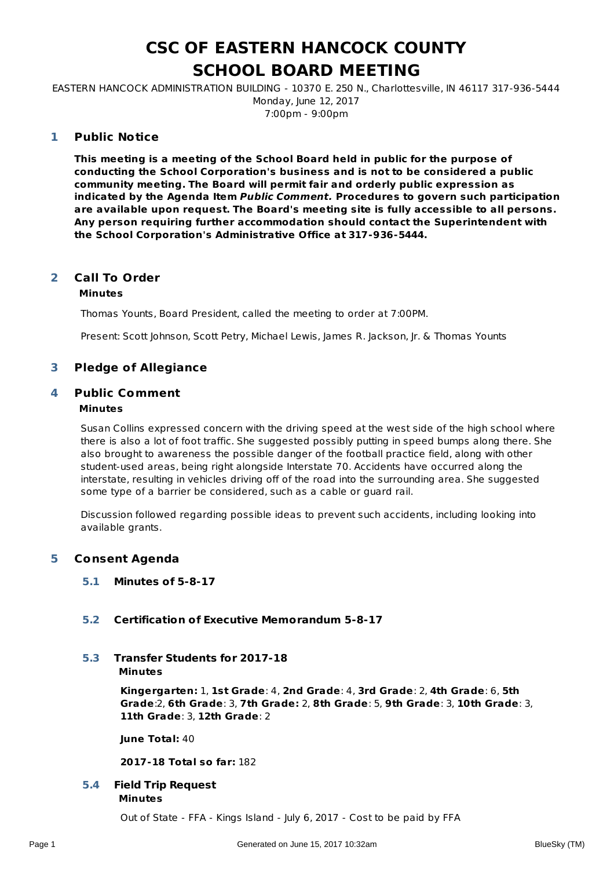# **CSC OF EASTERN HANCOCK COUNTY SCHOOL BOARD MEETING**

EASTERN HANCOCK ADMINISTRATION BUILDING - 10370 E. 250 N., Charlottesville, IN 46117 317-936-5444 Monday, June 12, 2017 7:00pm - 9:00pm

#### **Public Notice 1**

**This meeting is a meeting of the School Board held in public for the purpose of conducting the School Corporation's business and is not to be considered a public community meeting. The Board will permit fair and orderly public expression as indicated by the Agenda Item Public Comment. Procedures to govern such participation are available upon request. The Board's meeting site is fully accessible to all persons. Any person requiring further accommodation should contact the Superintendent with the School Corporation's Administrative Office at 317-936-5444.**

#### **Call To Order Minutes 2**

# Thomas Younts, Board President, called the meeting to order at 7:00PM.

Present: Scott Johnson, Scott Petry, Michael Lewis, James R. Jackson, Jr. & Thomas Younts

### **3 Pledge of Allegiance**

#### **Public Comment 4**

#### **Minutes**

Susan Collins expressed concern with the driving speed at the west side of the high school where there is also a lot of foot traffic. She suggested possibly putting in speed bumps along there. She also brought to awareness the possible danger of the football practice field, along with other student-used areas, being right alongside Interstate 70. Accidents have occurred along the interstate, resulting in vehicles driving off of the road into the surrounding area. She suggested some type of a barrier be considered, such as a cable or guard rail.

Discussion followed regarding possible ideas to prevent such accidents, including looking into available grants.

### **5 Consent Agenda**

#### **5.1 Minutes of 5-8-17**

#### **5.2 Certification of Executive Memorandum 5-8-17**

#### **Minutes 5.3 Transfer Students for 2017-18**

**Kingergarten:** 1, **1st Grade**: 4, **2nd Grade**: 4, **3rd Grade**: 2, **4th Grade**: 6, **5th Grade**:2, **6th Grade**: 3, **7th Grade:** 2, **8th Grade**: 5, **9th Grade**: 3, **10th Grade**: 3, **11th Grade**: 3, **12th Grade**: 2

**June Total:** 40

**2017-18 Total so far:** 182

#### **Minutes 5.4 Field Trip Request**

Out of State - FFA - Kings Island - July 6, 2017 - Cost to be paid by FFA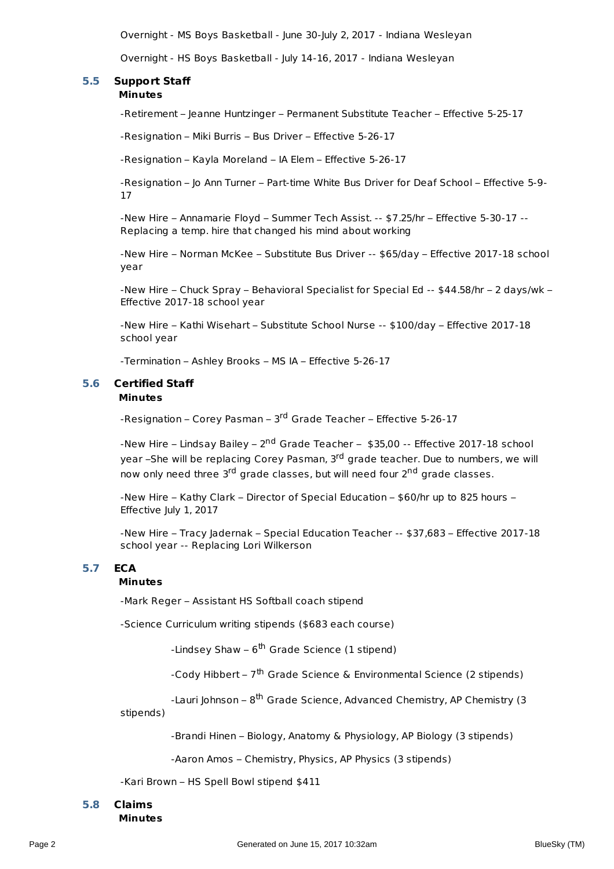Overnight - MS Boys Basketball - June 30-July 2, 2017 - Indiana Wesleyan

Overnight - HS Boys Basketball - July 14-16, 2017 - Indiana Wesleyan

#### **Minutes 5.5 Support Staff**

-Retirement – Jeanne Huntzinger – Permanent Substitute Teacher – Effective 5-25-17

-Resignation – Miki Burris – Bus Driver – Effective 5-26-17

-Resignation – Kayla Moreland – IA Elem – Effective 5-26-17

-Resignation – Jo Ann Turner – Part-time White Bus Driver for Deaf School – Effective 5-9- 17

-New Hire – Annamarie Floyd – Summer Tech Assist. -- \$7.25/hr – Effective 5-30-17 -- Replacing a temp. hire that changed his mind about working

-New Hire – Norman McKee – Substitute Bus Driver -- \$65/day – Effective 2017-18 school year

-New Hire – Chuck Spray – Behavioral Specialist for Special Ed -- \$44.58/hr – 2 days/wk – Effective 2017-18 school year

-New Hire – Kathi Wisehart – Substitute School Nurse -- \$100/day – Effective 2017-18 school year

-Termination – Ashley Brooks – MS IA – Effective 5-26-17

#### **Minutes 5.6 Certified Staff**

-Resignation – Corey Pasman – 3<sup>rd</sup> Grade Teacher – Effective 5-26-17

-New Hire – Lindsay Bailey – 2<sup>nd</sup> Grade Teacher – \$35,00 -- Effective 2017-18 school year –She will be replacing Corey Pasman, 3<sup>rd</sup> grade teacher. Due to numbers, we will now only need three 3<sup>rd</sup> grade classes, but will need four 2<sup>nd</sup> grade classes.

-New Hire – Kathy Clark – Director of Special Education – \$60/hr up to 825 hours – Effective July 1, 2017

-New Hire – Tracy Jadernak – Special Education Teacher -- \$37,683 – Effective 2017-18 school year -- Replacing Lori Wilkerson

### **5.7 ECA**

#### **Minutes**

-Mark Reger – Assistant HS Softball coach stipend

-Science Curriculum writing stipends (\$683 each course)

-Lindsey Shaw – 6<sup>th</sup> Grade Science (1 stipend)

-Cody Hibbert – 7<sup>th</sup> Grade Science & Environmental Science (2 stipends)

-Lauri Johnson – 8<sup>th</sup> Grade Science, Advanced Chemistry, AP Chemistry (3

stipends)

-Brandi Hinen – Biology, Anatomy & Physiology, AP Biology (3 stipends)

-Aaron Amos – Chemistry, Physics, AP Physics (3 stipends)

-Kari Brown – HS Spell Bowl stipend \$411

# **5.8 Claims**

**Minutes**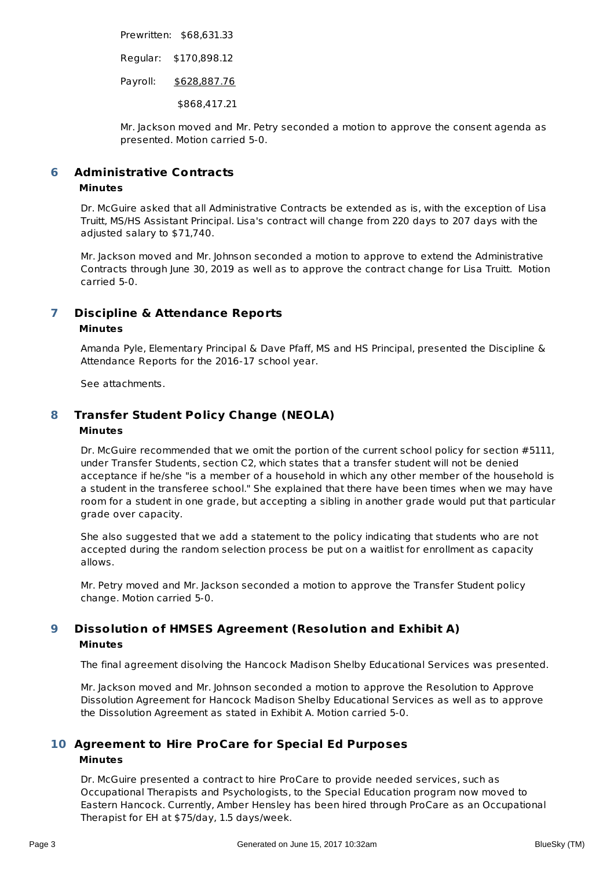Prewritten: \$68,631.33

Regular: \$170,898.12

Payroll: \$628,887.76

\$868,417.21

Mr. Jackson moved and Mr. Petry seconded a motion to approve the consent agenda as presented. Motion carried 5-0.

#### **Administrative Contracts 6**

### **Minutes**

Dr. McGuire asked that all Administrative Contracts be extended as is, with the exception of Lisa Truitt, MS/HS Assistant Principal. Lisa's contract will change from 220 days to 207 days with the adjusted salary to \$71,740.

Mr. Jackson moved and Mr. Johnson seconded a motion to approve to extend the Administrative Contracts through June 30, 2019 as well as to approve the contract change for Lisa Truitt. Motion carried 5-0.

#### **Discipline & Attendance Reports Minutes 7**

Amanda Pyle, Elementary Principal & Dave Pfaff, MS and HS Principal, presented the Discipline & Attendance Reports for the 2016-17 school year.

See attachments.

#### **Transfer Student Policy Change (NEOLA) Minutes 8**

Dr. McGuire recommended that we omit the portion of the current school policy for section #5111, under Transfer Students, section C2, which states that a transfer student will not be denied acceptance if he/she "is a member of a household in which any other member of the household is a student in the transferee school." She explained that there have been times when we may have room for a student in one grade, but accepting a sibling in another grade would put that particular grade over capacity.

She also suggested that we add a statement to the policy indicating that students who are not accepted during the random selection process be put on a waitlist for enrollment as capacity allows.

Mr. Petry moved and Mr. Jackson seconded a motion to approve the Transfer Student policy change. Motion carried 5-0.

#### **Dissolution of HMSES Agreement (Resolution and Exhibit A) Minutes 9**

The final agreement disolving the Hancock Madison Shelby Educational Services was presented.

Mr. Jackson moved and Mr. Johnson seconded a motion to approve the Resolution to Approve Dissolution Agreement for Hancock Madison Shelby Educational Services as well as to approve the Dissolution Agreement as stated in Exhibit A. Motion carried 5-0.

## **Agreement to Hire ProCare for Special Ed Purposes 10 Minutes**

Dr. McGuire presented a contract to hire ProCare to provide needed services, such as Occupational Therapists and Psychologists, to the Special Education program now moved to Eastern Hancock. Currently, Amber Hensley has been hired through ProCare as an Occupational Therapist for EH at \$75/day, 1.5 days/week.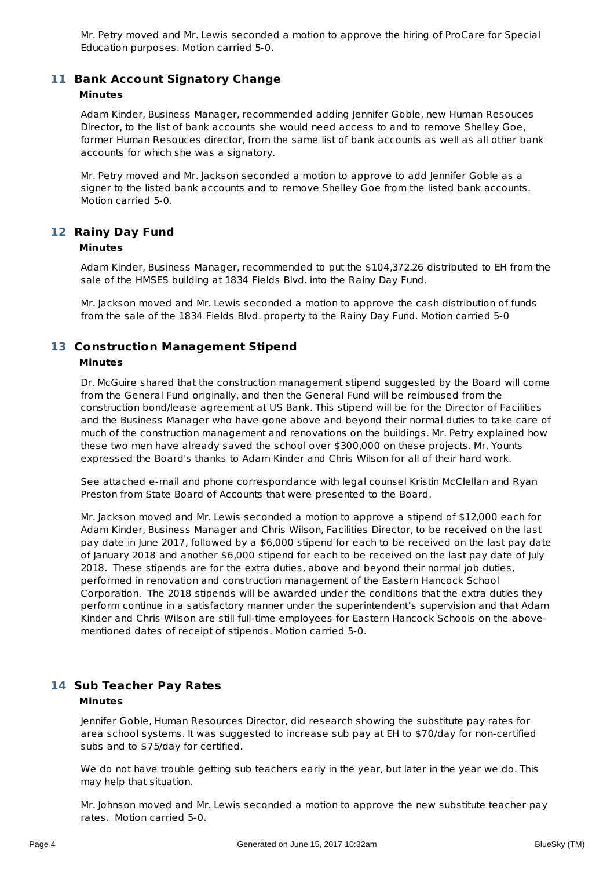Mr. Petry moved and Mr. Lewis seconded a motion to approve the hiring of ProCare for Special Education purposes. Motion carried 5-0.

## **Bank Account Signatory Change 11**

#### **Minutes**

Adam Kinder, Business Manager, recommended adding Jennifer Goble, new Human Resouces Director, to the list of bank accounts she would need access to and to remove Shelley Goe, former Human Resouces director, from the same list of bank accounts as well as all other bank accounts for which she was a signatory.

Mr. Petry moved and Mr. Jackson seconded a motion to approve to add Jennifer Goble as a signer to the listed bank accounts and to remove Shelley Goe from the listed bank accounts. Motion carried 5-0.

## **Rainy Day Fund 12**

#### **Minutes**

Adam Kinder, Business Manager, recommended to put the \$104,372.26 distributed to EH from the sale of the HMSES building at 1834 Fields Blvd. into the Rainy Day Fund.

Mr. Jackson moved and Mr. Lewis seconded a motion to approve the cash distribution of funds from the sale of the 1834 Fields Blvd. property to the Rainy Day Fund. Motion carried 5-0

# **Construction Management Stipend 13**

# **Minutes**

Dr. McGuire shared that the construction management stipend suggested by the Board will come from the General Fund originally, and then the General Fund will be reimbused from the construction bond/lease agreement at US Bank. This stipend will be for the Director of Facilities and the Business Manager who have gone above and beyond their normal duties to take care of much of the construction management and renovations on the buildings. Mr. Petry explained how these two men have already saved the school over \$300,000 on these projects. Mr. Younts expressed the Board's thanks to Adam Kinder and Chris Wilson for all of their hard work.

See attached e-mail and phone correspondance with legal counsel Kristin McClellan and Ryan Preston from State Board of Accounts that were presented to the Board.

Mr. Jackson moved and Mr. Lewis seconded a motion to approve a stipend of \$12,000 each for Adam Kinder, Business Manager and Chris Wilson, Facilities Director, to be received on the last pay date in June 2017, followed by a \$6,000 stipend for each to be received on the last pay date of January 2018 and another \$6,000 stipend for each to be received on the last pay date of July 2018. These stipends are for the extra duties, above and beyond their normal job duties, performed in renovation and construction management of the Eastern Hancock School Corporation. The 2018 stipends will be awarded under the conditions that the extra duties they perform continue in a satisfactory manner under the superintendent's supervision and that Adam Kinder and Chris Wilson are still full-time employees for Eastern Hancock Schools on the abovementioned dates of receipt of stipends. Motion carried 5-0.

### **Sub Teacher Pay Rates 14 Minutes**

Jennifer Goble, Human Resources Director, did research showing the substitute pay rates for area school systems. It was suggested to increase sub pay at EH to \$70/day for non-certified subs and to \$75/day for certified.

We do not have trouble getting sub teachers early in the year, but later in the year we do. This may help that situation.

Mr. Johnson moved and Mr. Lewis seconded a motion to approve the new substitute teacher pay rates. Motion carried 5-0.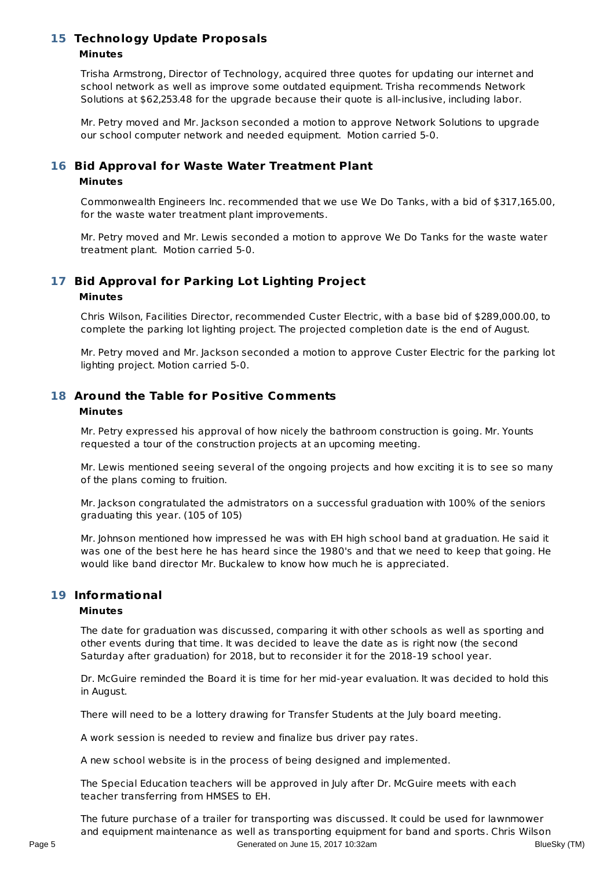### **Technology Update Proposals 15 Minutes**

Trisha Armstrong, Director of Technology, acquired three quotes for updating our internet and school network as well as improve some outdated equipment. Trisha recommends Network Solutions at \$62,253.48 for the upgrade because their quote is all-inclusive, including labor.

Mr. Petry moved and Mr. Jackson seconded a motion to approve Network Solutions to upgrade our school computer network and needed equipment. Motion carried 5-0.

### **Bid Approval for Waste Water Treatment Plant 16 Minutes**

Commonwealth Engineers Inc. recommended that we use We Do Tanks, with a bid of \$317,165.00, for the waste water treatment plant improvements.

Mr. Petry moved and Mr. Lewis seconded a motion to approve We Do Tanks for the waste water treatment plant. Motion carried 5-0.

# **Bid Approval for Parking Lot Lighting Project 17**

#### **Minutes**

Chris Wilson, Facilities Director, recommended Custer Electric, with a base bid of \$289,000.00, to complete the parking lot lighting project. The projected completion date is the end of August.

Mr. Petry moved and Mr. Jackson seconded a motion to approve Custer Electric for the parking lot lighting project. Motion carried 5-0.

#### **Around the Table for Positive Comments 18 Minutes**

Mr. Petry expressed his approval of how nicely the bathroom construction is going. Mr. Younts requested a tour of the construction projects at an upcoming meeting.

Mr. Lewis mentioned seeing several of the ongoing projects and how exciting it is to see so many of the plans coming to fruition.

Mr. Jackson congratulated the admistrators on a successful graduation with 100% of the seniors graduating this year. (105 of 105)

Mr. Johnson mentioned how impressed he was with EH high school band at graduation. He said it was one of the best here he has heard since the 1980's and that we need to keep that going. He would like band director Mr. Buckalew to know how much he is appreciated.

### **Informational 19**

#### **Minutes**

The date for graduation was discussed, comparing it with other schools as well as sporting and other events during that time. It was decided to leave the date as is right now (the second Saturday after graduation) for 2018, but to reconsider it for the 2018-19 school year.

Dr. McGuire reminded the Board it is time for her mid-year evaluation. It was decided to hold this in August.

There will need to be a lottery drawing for Transfer Students at the July board meeting.

A work session is needed to review and finalize bus driver pay rates.

A new school website is in the process of being designed and implemented.

The Special Education teachers will be approved in July after Dr. McGuire meets with each teacher transferring from HMSES to EH.

The future purchase of a trailer for transporting was discussed. It could be used for lawnmower and equipment maintenance as well as transporting equipment for band and sports. Chris Wilson Page 5 Generated on June 15, 2017 10:32am BlueSky (TM)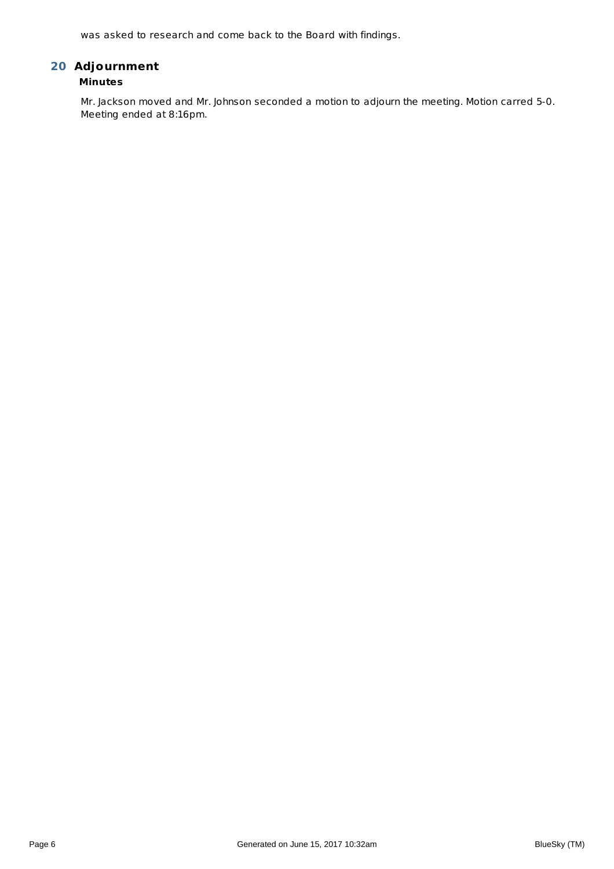was asked to research and come back to the Board with findings.

# **Adjournment 20**

## **Minutes**

Mr. Jackson moved and Mr. Johnson seconded a motion to adjourn the meeting. Motion carred 5-0. Meeting ended at 8:16pm.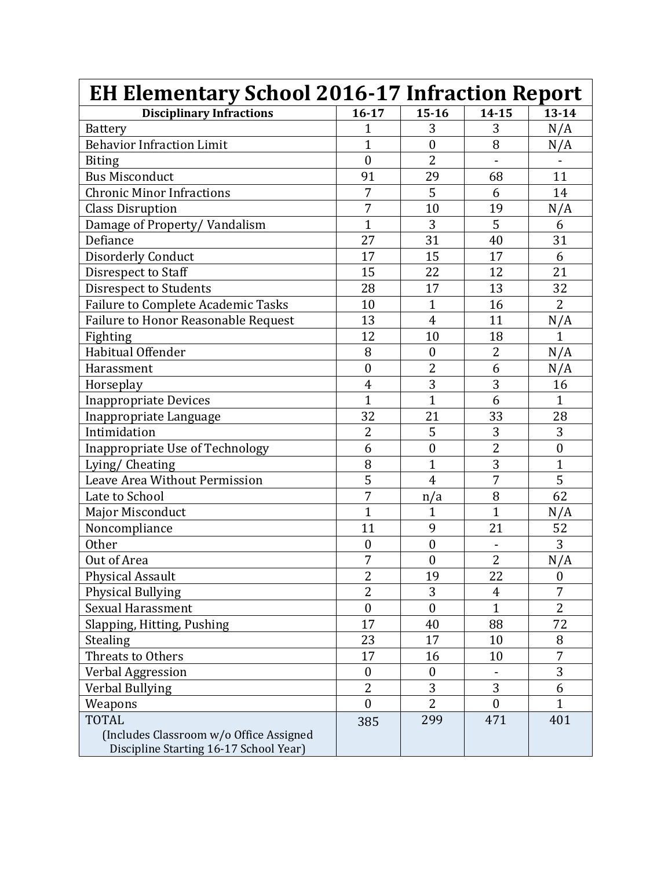| <b>EH Elementary School 2016-17 Infraction Report</b>                                             |                     |                  |                |                  |
|---------------------------------------------------------------------------------------------------|---------------------|------------------|----------------|------------------|
| <b>Disciplinary Infractions</b>                                                                   | $16 - 17$           | $15 - 16$        | $14 - 15$      | $13 - 14$        |
| <b>Battery</b>                                                                                    | 1                   | 3                | 3              | N/A              |
| <b>Behavior Infraction Limit</b>                                                                  | $\overline{1}$      | $\mathbf{0}$     | 8              | N/A              |
| <b>Biting</b>                                                                                     | $\boldsymbol{0}$    | $\overline{2}$   |                |                  |
| <b>Bus Misconduct</b>                                                                             | 91                  | 29               | 68             | 11               |
| <b>Chronic Minor Infractions</b>                                                                  | 7                   | 5                | 6              | 14               |
| <b>Class Disruption</b>                                                                           | 7                   | 10               | 19             | N/A              |
| Damage of Property/Vandalism                                                                      | $\overline{1}$      | 3                | 5              | 6                |
| Defiance                                                                                          | 27                  | 31               | 40             | 31               |
| <b>Disorderly Conduct</b>                                                                         | 17                  | 15               | 17             | 6                |
| Disrespect to Staff                                                                               | 15                  | 22               | 12             | 21               |
| Disrespect to Students                                                                            | 28                  | 17               | 13             | 32               |
| Failure to Complete Academic Tasks                                                                | 10                  | $\mathbf{1}$     | 16             | $\overline{2}$   |
| Failure to Honor Reasonable Request                                                               | 13                  | $\overline{4}$   | 11             | N/A              |
| Fighting                                                                                          | 12                  | 10               | 18             | $\mathbf{1}$     |
| Habitual Offender                                                                                 | 8                   | $\boldsymbol{0}$ | 2              | N/A              |
| Harassment                                                                                        | $\mathbf{0}$        | $\overline{2}$   | 6              | N/A              |
| Horseplay                                                                                         | $\overline{4}$      | 3                | 3              | 16               |
| <b>Inappropriate Devices</b>                                                                      | $\overline{1}$      | $\overline{1}$   | 6              | $\mathbf{1}$     |
| Inappropriate Language                                                                            | 32                  | 21               | 33             | 28               |
| Intimidation                                                                                      | 2                   | 5                | 3              | 3                |
| Inappropriate Use of Technology                                                                   | 6                   | $\boldsymbol{0}$ | $\overline{2}$ | $\boldsymbol{0}$ |
| Lying/ Cheating                                                                                   | 8                   | $\overline{1}$   | 3              | $\mathbf{1}$     |
| Leave Area Without Permission                                                                     | $\overline{5}$      | $\overline{4}$   | $\overline{7}$ | $\overline{5}$   |
| Late to School                                                                                    | 7                   | n/a              | 8              | 62               |
| Major Misconduct                                                                                  | $\overline{1}$      | $\mathbf 1$      | $\mathbf{1}$   | N/A              |
| Noncompliance                                                                                     | 11                  | 9                | 21             | 52               |
| <b>Other</b>                                                                                      | $\boldsymbol{0}$    | $\boldsymbol{0}$ | $\blacksquare$ | 3                |
| Out of Area                                                                                       | 7                   | $\boldsymbol{0}$ | $\overline{2}$ | N/A              |
| <b>Physical Assault</b>                                                                           | $\overline{a}$<br>∠ | 19               | 22             | $\boldsymbol{0}$ |
| Physical Bullying                                                                                 | $\overline{2}$      | 3                | $\overline{4}$ | $\overline{7}$   |
| <b>Sexual Harassment</b>                                                                          | $\boldsymbol{0}$    | $\boldsymbol{0}$ | $\mathbf{1}$   | $\overline{2}$   |
| Slapping, Hitting, Pushing                                                                        | 17                  | 40               | 88             | 72               |
| Stealing                                                                                          | 23                  | 17               | 10             | 8                |
| Threats to Others                                                                                 | 17                  | 16               | 10             | 7                |
| Verbal Aggression                                                                                 | $\boldsymbol{0}$    | $\boldsymbol{0}$ |                | 3                |
| Verbal Bullying                                                                                   | $\overline{2}$      | 3                | 3              | 6                |
| Weapons                                                                                           | $\theta$            | $\overline{2}$   | $\theta$       | $\mathbf{1}$     |
| <b>TOTAL</b><br>(Includes Classroom w/o Office Assigned<br>Discipline Starting 16-17 School Year) | 385                 | 299              | 471            | 401              |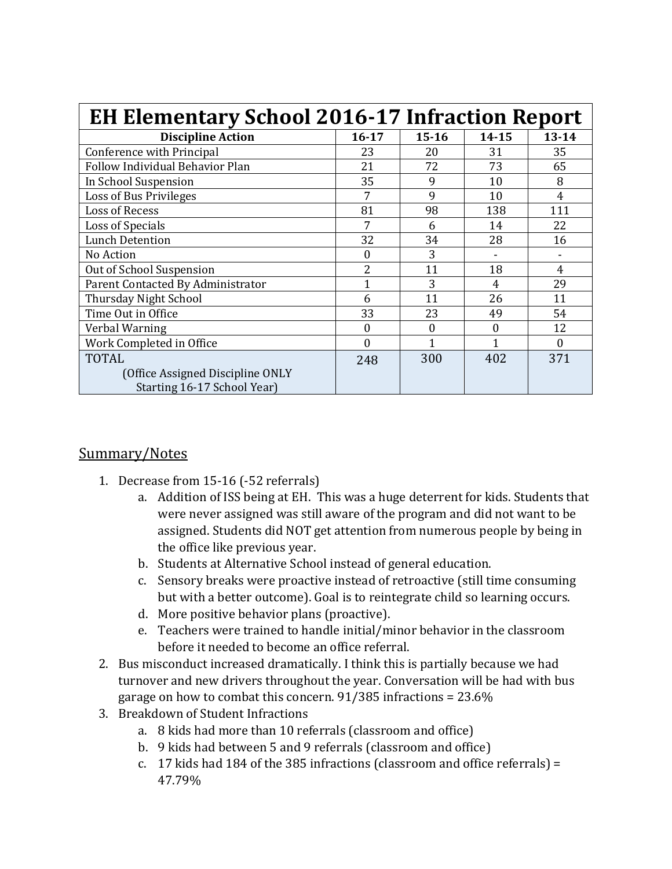| <b>EH Elementary School 2016-17 Infraction Report</b> |                  |           |           |                |  |
|-------------------------------------------------------|------------------|-----------|-----------|----------------|--|
| <b>Discipline Action</b>                              | $16 - 17$        | $15 - 16$ | $14 - 15$ | $13 - 14$      |  |
| Conference with Principal                             | 23               | 20        | 31        | 35             |  |
| Follow Individual Behavior Plan                       | 21               | 72        | 73        | 65             |  |
| In School Suspension                                  | 35               | 9         | 10        | 8              |  |
| Loss of Bus Privileges                                | 7                | 9         | 10        | $\overline{4}$ |  |
| Loss of Recess                                        | 81               | 98        | 138       | 111            |  |
| Loss of Specials                                      | 7                | 6         | 14        | 22             |  |
| <b>Lunch Detention</b>                                | 32               | 34        | 28        | 16             |  |
| No Action                                             | $\Omega$         | 3         |           |                |  |
| Out of School Suspension                              | 2                | 11        | 18        | 4              |  |
| Parent Contacted By Administrator                     | 1                | 3         | 4         | 29             |  |
| Thursday Night School                                 | 6                | 11        | 26        | 11             |  |
| Time Out in Office                                    | 33               | 23        | 49        | 54             |  |
| Verbal Warning                                        | $\boldsymbol{0}$ | 0         | $\theta$  | 12             |  |
| Work Completed in Office                              | $\theta$         | 1         | 1         | $\Omega$       |  |
| <b>TOTAL</b>                                          | 248              | 300       | 402       | 371            |  |
| (Office Assigned Discipline ONLY                      |                  |           |           |                |  |
| Starting 16-17 School Year)                           |                  |           |           |                |  |

# Summary/Notes

- 1. Decrease from 15-16 (-52 referrals)
	- a. Addition of ISS being at EH. This was a huge deterrent for kids. Students that were never assigned was still aware of the program and did not want to be assigned. Students did NOT get attention from numerous people by being in the office like previous year.
	- b. Students at Alternative School instead of general education.
	- c. Sensory breaks were proactive instead of retroactive (still time consuming but with a better outcome). Goal is to reintegrate child so learning occurs.
	- d. More positive behavior plans (proactive).
	- e. Teachers were trained to handle initial/minor behavior in the classroom before it needed to become an office referral.
- 2. Bus misconduct increased dramatically. I think this is partially because we had turnover and new drivers throughout the year. Conversation will be had with bus garage on how to combat this concern. 91/385 infractions = 23.6%
- 3. Breakdown of Student Infractions
	- a. 8 kids had more than 10 referrals (classroom and office)
	- b. 9 kids had between 5 and 9 referrals (classroom and office)
	- c. 17 kids had 184 of the 385 infractions (classroom and office referrals) = 47.79%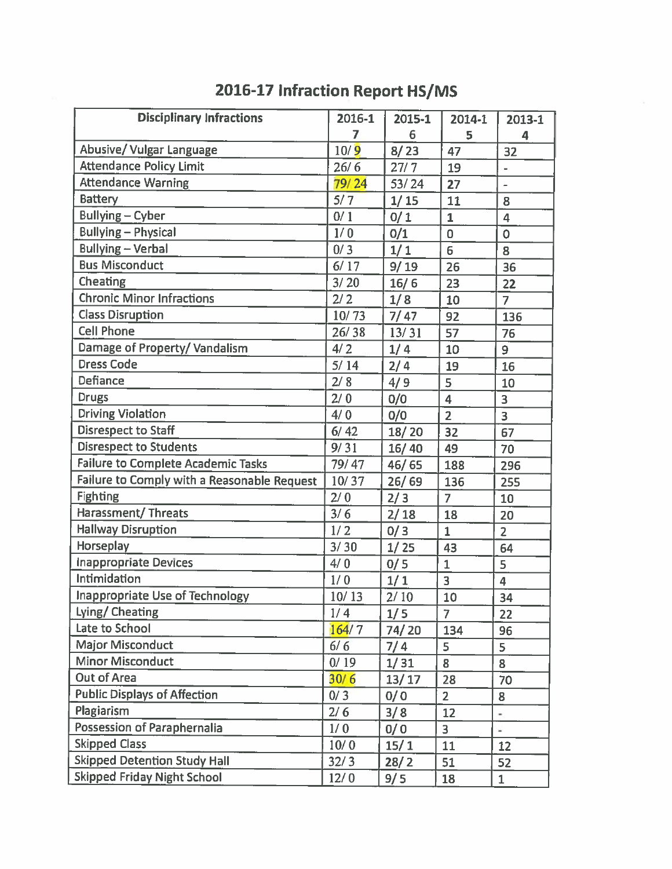| <b>Disciplinary Infractions</b>             | 2016-1 | 2015-1            | 2014-1                  | 2013-1                   |
|---------------------------------------------|--------|-------------------|-------------------------|--------------------------|
|                                             | 7      | 6                 | 5                       | 4                        |
| Abusive/ Vulgar Language                    | 10/9   | 8/23              | 47                      | 32                       |
| <b>Attendance Policy Limit</b>              | 26/6   | 27/7              | 19                      | $\overline{\phantom{a}}$ |
| <b>Attendance Warning</b>                   | 79/24  | 53/24             | 27                      | $\overline{a}$           |
| <b>Battery</b>                              | 5/7    | 1/15              | 11                      | 8                        |
| <b>Bullying-Cyber</b>                       | 0/1    | 0/1               | $\mathbf{1}$            | $\overline{4}$           |
| <b>Bullying - Physical</b>                  | 1/0    | 0/1               | $\overline{0}$          | $\overline{O}$           |
| <b>Bullying - Verbal</b>                    | 0/3    | 1/1               | 6                       | 8                        |
| <b>Bus Misconduct</b>                       | 6/17   | 9/19              | 26                      | 36                       |
| Cheating                                    | 3/20   | 16/6              | 23                      | 22                       |
| <b>Chronic Minor Infractions</b>            | 2/2    | 1/8               | 10                      | $\overline{7}$           |
| <b>Class Disruption</b>                     | 10/73  | 7/47              | 92                      | 136                      |
| <b>Cell Phone</b>                           | 26/38  | 13/31             | 57                      | 76                       |
| Damage of Property/Vandalism                | 4/2    | 1/4               | 10                      | 9                        |
| <b>Dress Code</b>                           | $5/14$ | 2/4               | 19                      | 16                       |
| Defiance                                    | 2/8    | 4/9               | 5                       | 10                       |
| <b>Drugs</b>                                | 2/0    | 0/0               | $\overline{4}$          | 3                        |
| <b>Driving Violation</b>                    | 4/0    | 0/0               | $\overline{2}$          | $\overline{3}$           |
| <b>Disrespect to Staff</b>                  | $6/42$ | 18/20             | 32                      | 67                       |
| <b>Disrespect to Students</b>               | 9/31   | 16/40             | 49                      | 70                       |
| Failure to Complete Academic Tasks          | 79/47  | 46/65             | 188                     | 296                      |
| Failure to Comply with a Reasonable Request | 10/37  | 26/69             | 136                     | 255                      |
| <b>Fighting</b>                             | 2/0    | 2/3               | $\overline{7}$          | 10                       |
| <b>Harassment/ Threats</b>                  | 3/6    | 2/18              | 18                      | 20                       |
| <b>Hallway Disruption</b>                   | 1/2    | 0/3               | $\mathbf{1}$            | $\overline{2}$           |
| Horseplay                                   | 3/30   | $\overline{1/25}$ | 43                      | 64                       |
| <b>Inappropriate Devices</b>                | 4/0    | 0/5               | $\mathbf{1}$            | 5                        |
| Intimidation                                | 1/0    | 1/1               | $\overline{\mathbf{3}}$ | $\overline{\mathbf{4}}$  |
| <b>Inappropriate Use of Technology</b>      | 10/13  | $2/10$            | 10                      | 34                       |
| Lying/ Cheating                             | 1/4    | 1/5               | $\overline{7}$          | 22                       |
| Late to School                              | 164/7  | 74/20             | 134                     | 96                       |
| <b>Major Misconduct</b>                     | 6/6    | 7/4               | 5                       | 5                        |
| <b>Minor Misconduct</b>                     | 0/19   | 1/31              | 8                       | 8                        |
| <b>Out of Area</b>                          | 30/6   | 13/17             | 28                      | 70                       |
| <b>Public Displays of Affection</b>         | 0/3    | 0/0               | $\overline{2}$          | 8                        |
| Plagiarism                                  | 2/6    | 3/8               | 12                      | $\blacksquare$           |
| Possession of Paraphernalia                 | 1/0    | 0/0               | 3                       | ÷                        |
| <b>Skipped Class</b>                        | 10/0   | 15/1              | 11                      | 12                       |
| <b>Skipped Detention Study Hall</b>         | 32/3   | 28/2              | 51                      | 52                       |
| <b>Skipped Friday Night School</b>          | 12/0   | 9/5               | 18                      | $\mathbf{1}$             |

# 2016-17 Infraction Report HS/MS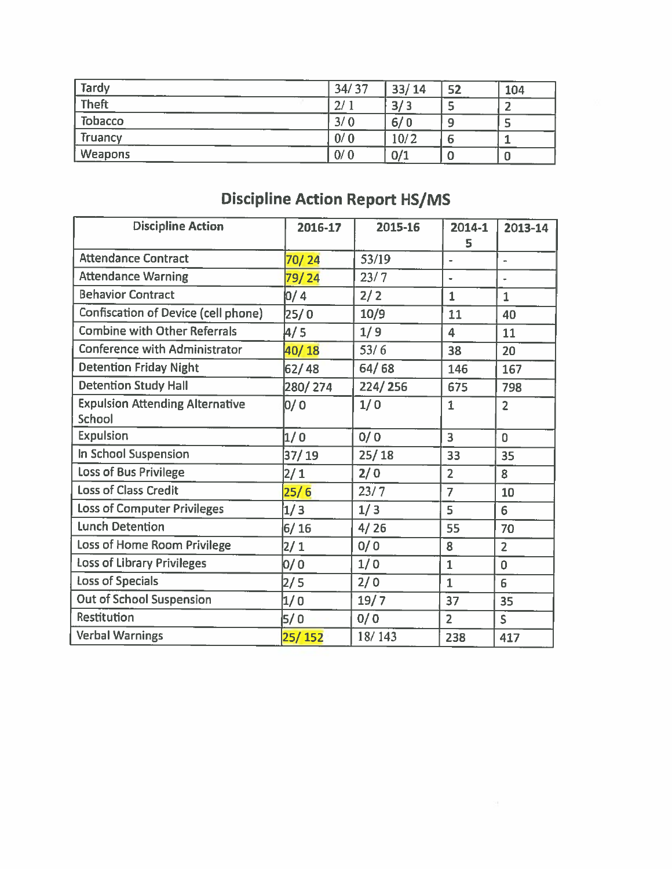| <b>Tardy</b>   | 34/37          | 33/14      | 52 | 104 |
|----------------|----------------|------------|----|-----|
| <b>Theft</b>   | 2 <sup>1</sup> | 2/2<br>، ب |    |     |
| <b>Tobacco</b> | 3/0            | 6/0        | 9  |     |
| Truancy        | 0/0            | 10/2       | ь  |     |
| <b>Weapons</b> | 0/0            | 0/1        | u  |     |

# **Discipline Action Report HS/MS**

| <b>Discipline Action</b>                         | 2016-17 | 2015-16 | 2014-1               | 2013-14        |
|--------------------------------------------------|---------|---------|----------------------|----------------|
|                                                  |         |         | 5                    |                |
| <b>Attendance Contract</b>                       | 70/24   | 53/19   | $\bullet$            | $\overline{a}$ |
| <b>Attendance Warning</b>                        | 79/24   | 23/7    | $\ddot{\phantom{1}}$ |                |
| <b>Behavior Contract</b>                         | 0/4     | 2/2     | $\mathbf{1}$         | $\mathbf{1}$   |
| Confiscation of Device (cell phone)              | 25/0    | 10/9    | 11                   | 40             |
| <b>Combine with Other Referrals</b>              | 4/5     | 1/9     | 4                    | 11             |
| <b>Conference with Administrator</b>             | 40/18   | 53/6    | 38                   | 20             |
| <b>Detention Friday Night</b>                    | 62/48   | 64/68   | 146                  | 167            |
| <b>Detention Study Hall</b>                      | 280/274 | 224/256 | 675                  | 798            |
| <b>Expulsion Attending Alternative</b><br>School | 0/ 0    | 1/0     | $\mathbf{1}$         | $\overline{2}$ |
| <b>Expulsion</b>                                 | 1/0     | 0/0     | 3                    | $\overline{0}$ |
| In School Suspension                             | 37/19   | 25/18   | 33                   | 35             |
| <b>Loss of Bus Privilege</b>                     | 2/1     | 2/0     | $\overline{2}$       | 8              |
| <b>Loss of Class Credit</b>                      | 25/6    | 23/7    | $\overline{7}$       | 10             |
| <b>Loss of Computer Privileges</b>               | 1/3     | 1/3     | 5                    | 6              |
| <b>Lunch Detention</b>                           | $6/16$  | 4/26    | 55                   | 70             |
| Loss of Home Room Privilege                      | 2/1     | 0/0     | 8                    | $\overline{2}$ |
| Loss of Library Privileges                       | 0/0     | 1/0     | $\mathbf{1}$         | $\mathbf 0$    |
| <b>Loss of Specials</b>                          | 2/5     | 2/0     | $\mathbf{1}$         | 6              |
| <b>Out of School Suspension</b>                  | 1/0     | 19/7    | 37                   | 35             |
| Restitution                                      | 5/0     | 0/0     | $\overline{2}$       | S.             |
| <b>Verbal Warnings</b>                           | 25/152  | 18/143  | 238                  | 417            |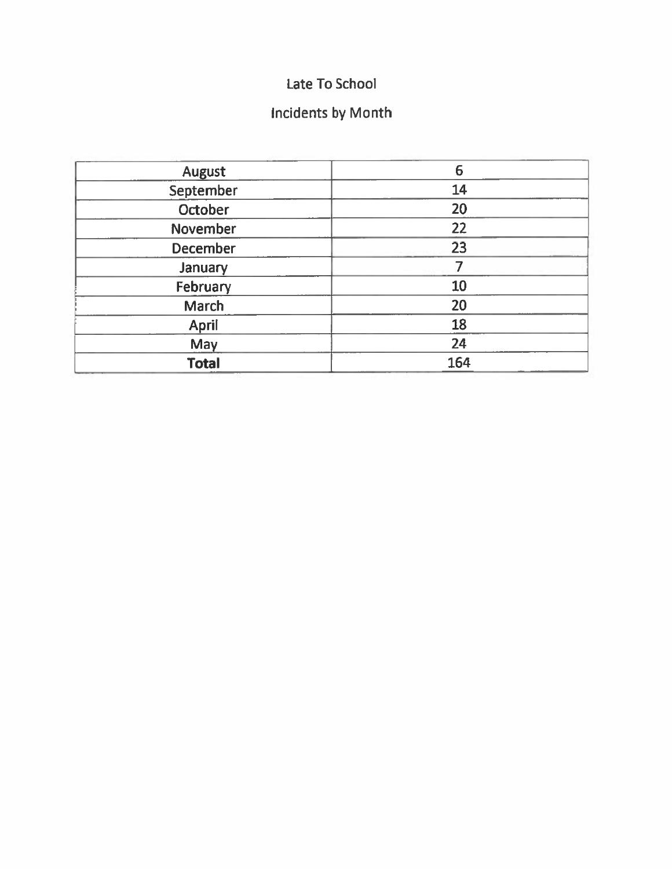# Late To School

# **Incidents by Month**

| <b>August</b>   | 6   |
|-----------------|-----|
| September       | 14  |
| October         | 20  |
| November        | 22  |
| <b>December</b> | 23  |
| January         |     |
| February        | 10  |
| <b>March</b>    | 20  |
| April           | 18  |
| May             | 24  |
| <b>Total</b>    | 164 |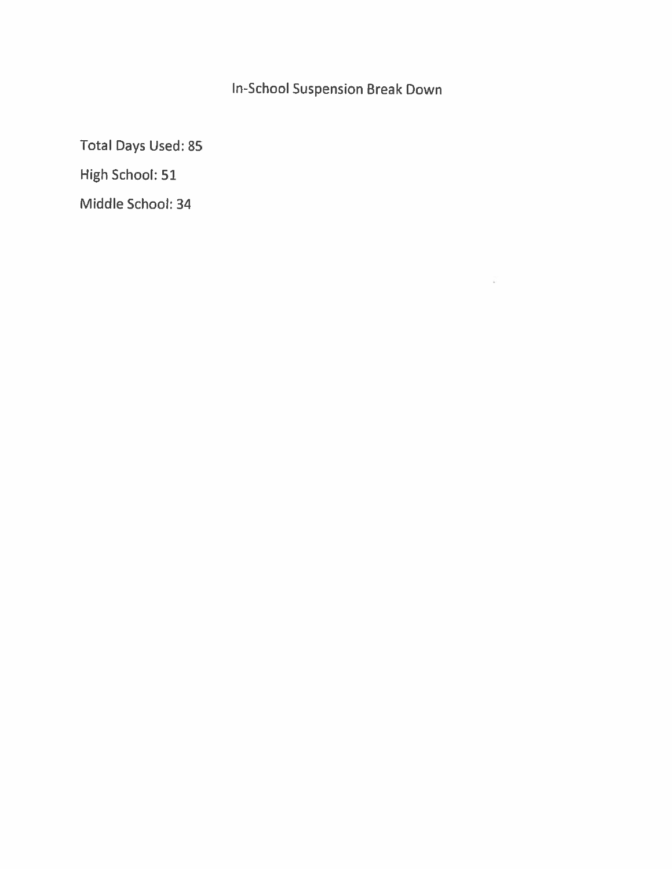In-School Suspension Break Down

 $\frac{2\pi}{4}$ 

**Total Days Used: 85** 

High School: 51

Middle School: 34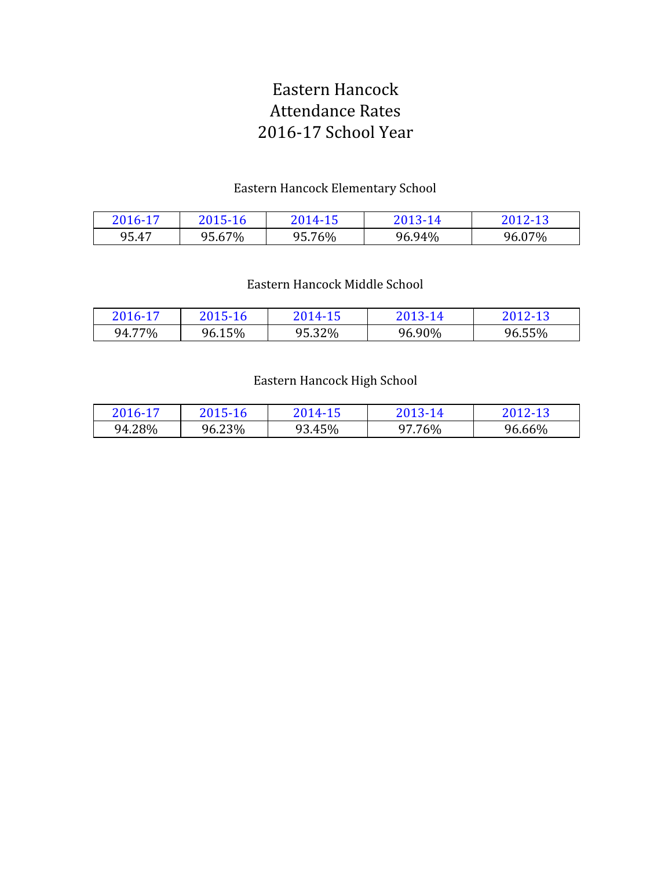# Eastern Hancock Attendance Rates 2016-17 School Year

## Eastern Hancock Elementary School

| 2016-17 | 2015-16 | 2014-15 | 2013-14 | 2012-13 |
|---------|---------|---------|---------|---------|
| 95.47   | 95.67%  | 95.76%  | 96.94%  | 96.07%  |

## Eastern Hancock Middle School

| 2016-17 | 2015-16 | 2014-15 | 2013-14 | 2012-13 |
|---------|---------|---------|---------|---------|
| 94.77%  | 96.15%  | 95.32%  | 96.90%  | 96.55%  |

## Eastern Hancock High School

| 2016-17 | 2015-16 | 2014-15 | 2013-14 | 2012-13 |
|---------|---------|---------|---------|---------|
| 94.28%  | 96.23%  | 93.45%  | 97.76%  | 96.66%  |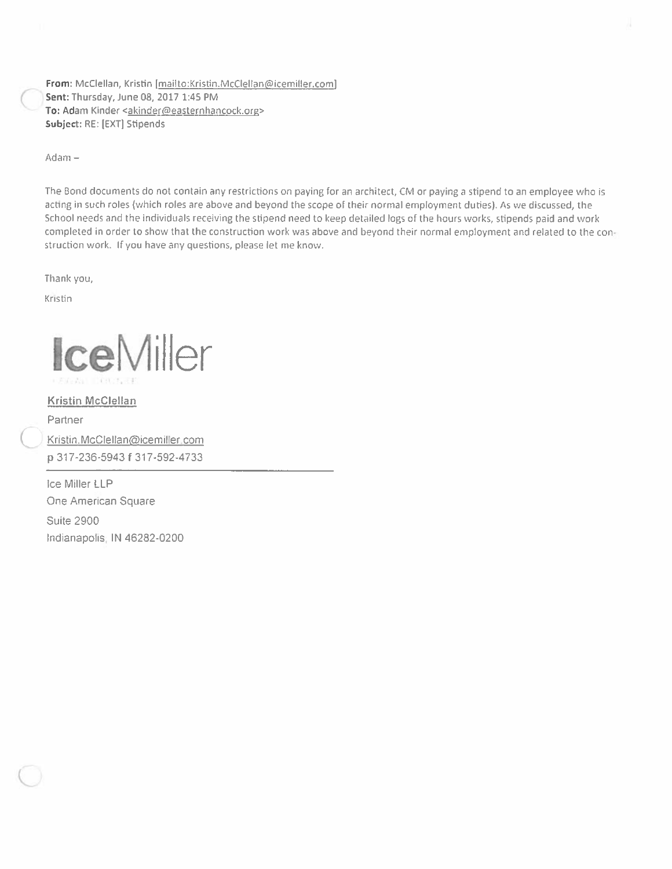From: McClellan, Kristin [mailto:Kristin.McClellan@icemiller.com] Sent: Thursday, June 08, 2017 1:45 PM To: Adam Kinder <akinder@easternhancock.org> Subject: RE: [EXT] Stipends

Adam-

The Bond documents do not contain any restrictions on paying for an architect, CM or paying a stipend to an employee who is acting in such roles (which roles are above and beyond the scope of their normal employment duties). As we discussed, the School needs and the individuals receiving the stipend need to keep detailed logs of the hours works, stipends paid and work completed in order to show that the construction work was above and beyond their normal employment and related to the construction work. If you have any questions, please let me know.

Thank you,

Kristin

**Ice**Miller

**Kristin McClellan** Partner Kristin.McClellan@icemiller.com p 317-236-5943 f 317-592-4733

ice Miller LLP One American Square **Suite 2900** Indianapolis, IN 46282-0200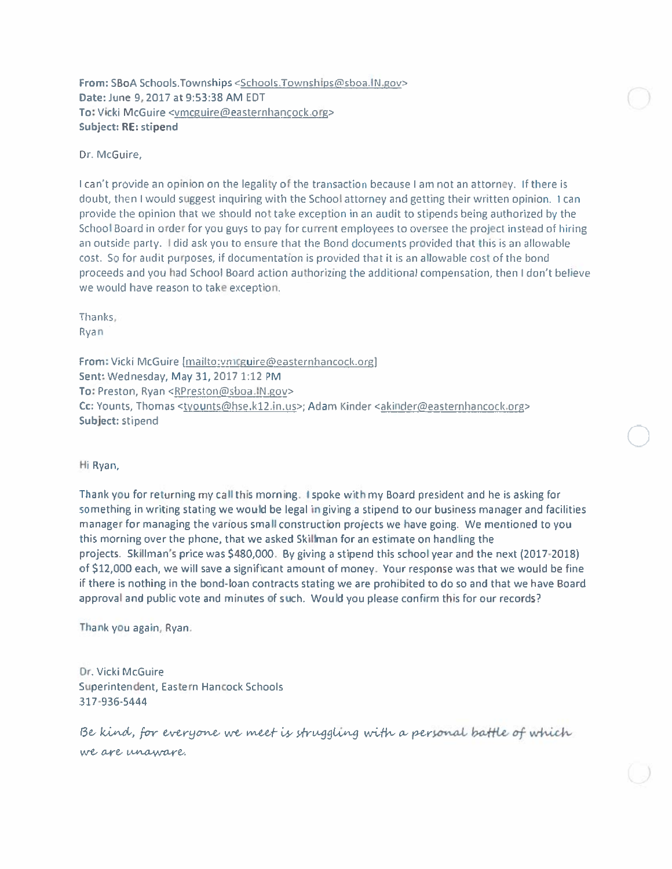From: SBoA Schools. Townships <Schools. Townships@sboa. IN.gov> Date: June 9, 2017 at 9:53:38 AM EDT To: Vicki McGuire <vmcguire@easternhancock.org> **Subject: RE: stipend** 

Dr. McGuire.

I can't provide an opinion on the legality of the transaction because I am not an attorney. If there is doubt, then I would suggest inquiring with the School attorney and getting their written opinion. I can provide the opinion that we should not take exception in an audit to stipends being authorized by the School Board in order for you guys to pay for current employees to oversee the project instead of hiring an outside party. I did ask you to ensure that the Bond documents provided that this is an allowable cost. So for audit purposes, if documentation is provided that it is an allowable cost of the bond proceeds and you had School Board action authorizing the additional compensation, then I don't believe we would have reason to take exception.

Thanks: Ryan

From: Vicki McGuire [mailto:vmcguire@easternhancock.org] Sent: Wednesday, May 31, 2017 1:12 PM To: Preston, Ryan <RPreston@sboa.IN.gov> Cc: Younts, Thomas <tyounts@hse.k12.in.us>; Adam Kinder <akinder@easternhancock.org> Subject: stipend

Hi Ryan,

Thank you for returning my call this morning. I spoke with my Board president and he is asking for something in writing stating we would be legal in giving a stipend to our business manager and facilities manager for managing the various small construction projects we have going. We mentioned to you this morning over the phone, that we asked Skillman for an estimate on handling the projects. Skillman's price was \$480,000. By giving a stipend this school year and the next (2017-2018) of \$12,000 each, we will save a significant amount of money. Your response was that we would be fine if there is nothing in the bond-loan contracts stating we are prohibited to do so and that we have Board approval and public vote and minutes of such. Would you please confirm this for our records?

Thank you again, Ryan:

Dr. Vicki McGuire Superintendent, Eastern Hancock Schools 317-936-5444

Be kind, for everyone we meet is struggling with a personal battle of which we are unaware.